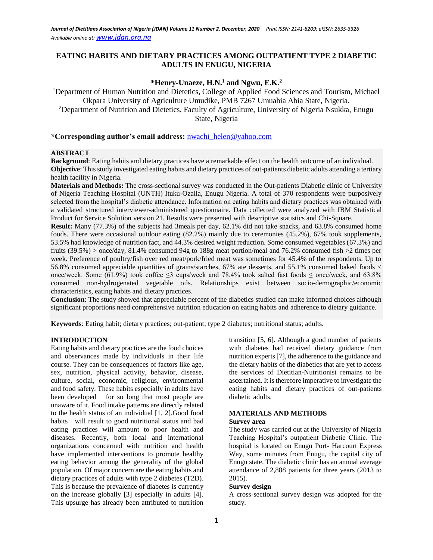# **EATING HABITS AND DIETARY PRACTICES AMONG OUTPATIENT TYPE 2 DIABETIC ADULTS IN ENUGU, NIGERIA**

## **\*Henry-Unaeze, H.N.<sup>1</sup> and Ngwu, E.K.<sup>2</sup>**

<sup>1</sup>Department of Human Nutrition and Dietetics, College of Applied Food Sciences and Tourism, Michael Okpara University of Agriculture Umudike, PMB 7267 Umuahia Abia State, Nigeria. <sup>2</sup>Department of Nutrition and Dietetics, Faculty of Agriculture, University of Nigeria Nsukka, Enugu State, Nigeria

### **\*Corresponding author's email address:** [nwachi\\_helen@yahoo.com](mailto:nwachi_helen@yahoo.com)

#### **ABSTRACT**

**Background**: Eating habits and dietary practices have a remarkable effect on the health outcome of an individual. **Objective**: This study investigated eating habits and dietary practices of out-patients diabetic adults attending a tertiary health facility in Nigeria.

**Materials and Methods:** The cross-sectional survey was conducted in the Out-patients Diabetic clinic of University of Nigeria Teaching Hospital (UNTH) Ituku-Ozalla, Enugu Nigeria. A total of 370 respondents were purposively selected from the hospital's diabetic attendance. Information on eating habits and dietary practices was obtained with a validated structured interviewer-administered questionnaire. Data collected were analyzed with IBM Statistical Product for Service Solution version 21. Results were presented with descriptive statistics and Chi-Square.

**Result:** Many (77.3%) of the subjects had 3meals per day, 62.1% did not take snacks, and 63.8% consumed home foods. There were occasional outdoor eating (82.2%) mainly due to ceremonies (45.2%), 67% took supplements, 53.5% had knowledge of nutrition fact, and 44.3% desired weight reduction. Some consumed vegetables (67.3%) and fruits (39.5%) > once/day, 81.4% consumed 94g to 188g meat portion/meal and 76.2% consumed fish >2 times per week. Preference of poultry/fish over red meat/pork/fried meat was sometimes for 45.4% of the respondents. Up to 56.8% consumed appreciable quantities of grains/starches, 67% ate desserts, and 55.1% consumed baked foods < once/week. Some (61.9%) took coffee  $\leq$ 3 cups/week and 78.4% took salted fast foods  $\leq$  once/week, and 63.8% consumed non-hydrogenated vegetable oils. Relationships exist between socio-demographic/economic characteristics, eating habits and dietary practices.

**Conclusion**: The study showed that appreciable percent of the diabetics studied can make informed choices although significant proportions need comprehensive nutrition education on eating habits and adherence to dietary guidance.

**Keywords**: Eating habit; dietary practices; out-patient; type 2 diabetes; nutritional status; adults.

### **INTRODUCTION**

Eating habits and dietary practices are the food choices and observances made by individuals in their life course. They can be consequences of factors like age, sex, nutrition, physical activity, behavior, disease, culture, social, economic, religious, environmental and food safety. These habits especially in adults have been developed for so long that most people are unaware of it. Food intake patterns are directly related to the health status of an individual [1, 2].Good food habits will result to good nutritional status and bad eating practices will amount to poor health and diseases. Recently, both local and international organizations concerned with nutrition and health have implemented interventions to promote healthy eating behavior among the generality of the global population. Of major concern are the eating habits and dietary practices of adults with type 2 diabetes (T2D). This is because the prevalence of diabetes is currently on the increase globally [3] especially in adults [4]. This upsurge has already been attributed to nutrition

transition [5, 6]. Although a good number of patients with diabetes had received dietary guidance from nutrition experts [7], the adherence to the guidance and the dietary habits of the diabetics that are yet to access the services of Dietitian-Nutritionist remains to be ascertained. It is therefore imperative to investigate the eating habits and dietary practices of out-patients diabetic adults.

## **MATERIALS AND METHODS**

### **Survey area**

The study was carried out at the University of Nigeria Teaching Hospital's outpatient Diabetic Clinic. The hospital is located on Enugu Port- Harcourt Express Way, some minutes from Enugu, the capital city of Enugu state. The diabetic clinic has an annual average attendance of 2,888 patients for three years (2013 to 2015).

## **Survey design**

A cross-sectional survey design was adopted for the study.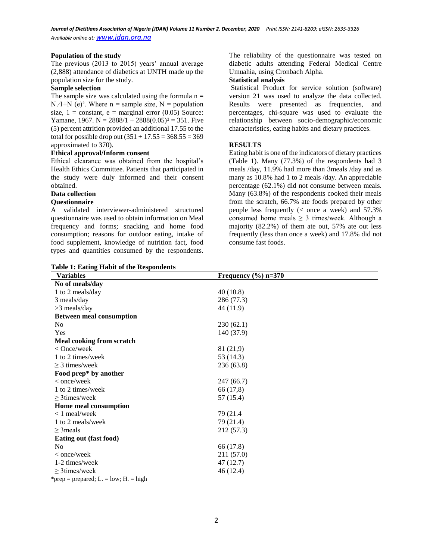#### **Population of the study**

The previous (2013 to 2015) years' annual average (2,888) attendance of diabetics at UNTH made up the population size for the study.

#### **Sample selection**

The sample size was calculated using the formula  $n =$  $N / 1 + N$  (e)<sup>2</sup>. Where n = sample size, N = population size,  $1 = constant$ ,  $e = marginal error (0.05)$  Source: Yamane, 1967. N =  $2888/1 + 2888(0.05)^2 = 351$ . Five (5) percent attrition provided an additional 17.55 to the total for possible drop out  $(351 + 17.55 = 368.55 = 369$ approximated to 370).

### **Ethical approval/Inform consent**

Ethical clearance was obtained from the hospital's Health Ethics Committee. Patients that participated in the study were duly informed and their consent obtained.

## **Data collection**

### **Questionnaire**

A validated interviewer-administered structured questionnaire was used to obtain information on Meal frequency and forms; snacking and home food consumption; reasons for outdoor eating, intake of food supplement, knowledge of nutrition fact, food types and quantities consumed by the respondents.

**Table 1: Eating Habit of the Respondents**

The reliability of the questionnaire was tested on diabetic adults attending Federal Medical Centre Umuahia, using Cronbach Alpha.

### **Statistical analysis**

Statistical Product for service solution (software) version 21 was used to analyze the data collected. Results were presented as frequencies, and percentages, chi-square was used to evaluate the relationship between socio-demographic/economic characteristics, eating habits and dietary practices.

### **RESULTS**

Eating habit is one of the indicators of dietary practices (Table 1). Many (77.3%) of the respondents had 3 meals /day, 11.9% had more than 3meals /day and as many as 10.8% had 1 to 2 meals /day. An appreciable percentage (62.1%) did not consume between meals. Many (63.8%) of the respondents cooked their meals from the scratch, 66.7% ate foods prepared by other people less frequently (< once a week) and 57.3% consumed home meals  $\geq$  3 times/week. Although a majority (82.2%) of them ate out, 57% ate out less frequently (less than once a week) and 17.8% did not consume fast foods.

| Table 1. Earling Habit of the Kespondents<br><b>Variables</b> | Frequency $(\% )$ n=370 |
|---------------------------------------------------------------|-------------------------|
| No of meals/day                                               |                         |
| 1 to 2 meals/day                                              | 40(10.8)                |
| 3 meals/day                                                   | 286 (77.3)              |
| $>3$ meals/day                                                | 44 (11.9)               |
| <b>Between meal consumption</b>                               |                         |
| N <sub>0</sub>                                                | 230(62.1)               |
| Yes                                                           | 140 (37.9)              |
| Meal cooking from scratch                                     |                         |
| $<$ Once/week                                                 | 81 (21,9)               |
| 1 to 2 times/week                                             | 53 (14.3)               |
| $\geq$ 3 times/week                                           | 236 (63.8)              |
| Food prep* by another                                         |                         |
| $<$ once/week                                                 | 247(66.7)               |
| 1 to 2 times/week                                             | 66 (17,8)               |
| $\geq$ 3 times/week                                           | 57 (15.4)               |
| Home meal consumption                                         |                         |
| $< 1$ meal/week                                               | 79 (21.4)               |
| 1 to 2 meals/week                                             | 79 (21.4)               |
| $\geq$ 3 meals                                                | 212 (57.3)              |
| Eating out (fast food)                                        |                         |
| N <sub>0</sub>                                                | 66 (17.8)               |
| $<$ once/week                                                 | 211 (57.0)              |
| 1-2 times/week                                                | 47 (12.7)               |
| $\geq$ 3 times/week                                           | 46(12.4)                |

\*prep = prepared;  $L = low$ ;  $H = high$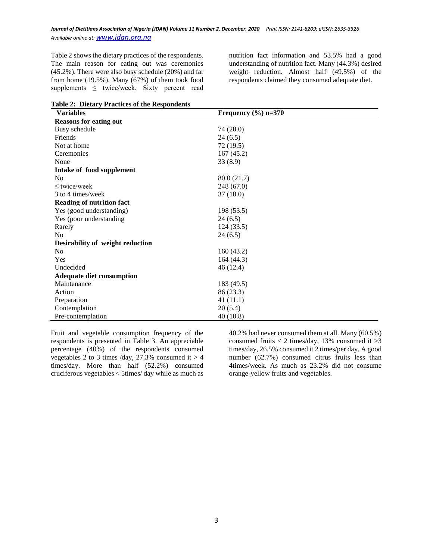Table 2 shows the dietary practices of the respondents. The main reason for eating out was ceremonies (45.2%). There were also busy schedule (20%) and far from home (19.5%). Many (67%) of them took food supplements  $\leq$  twice/week. Sixty percent read nutrition fact information and 53.5% had a good understanding of nutrition fact. Many (44.3%) desired weight reduction. Almost half (49.5%) of the respondents claimed they consumed adequate diet.

**Table 2: Dietary Practices of the Respondents**

| <b>Variables</b>                 | Frequency $(\% )$ n=370 |
|----------------------------------|-------------------------|
| <b>Reasons for eating out</b>    |                         |
| Busy schedule                    | 74 (20.0)               |
| Friends                          | 24(6.5)                 |
| Not at home                      | 72(19.5)                |
| Ceremonies                       | 167(45.2)               |
| None                             | 33(8.9)                 |
| Intake of food supplement        |                         |
| N <sub>0</sub>                   | 80.0 (21.7)             |
| $\leq$ twice/week                | 248 (67.0)              |
| 3 to 4 times/week                | 37(10.0)                |
| <b>Reading of nutrition fact</b> |                         |
| Yes (good understanding)         | 198 (53.5)              |
| Yes (poor understanding          | 24(6.5)                 |
| Rarely                           | 124(33.5)               |
| N <sub>0</sub>                   | 24(6.5)                 |
| Desirability of weight reduction |                         |
| No                               | 160(43.2)               |
| Yes                              | 164(44.3)               |
| Undecided                        | 46 (12.4)               |
| <b>Adequate diet consumption</b> |                         |
| Maintenance                      | 183 (49.5)              |
| Action                           | 86 (23.3)               |
| Preparation                      | 41(11.1)                |
| Contemplation                    | 20(5.4)                 |
| Pre-contemplation                | 40(10.8)                |

Fruit and vegetable consumption frequency of the respondents is presented in Table 3. An appreciable percentage (40%) of the respondents consumed vegetables 2 to 3 times /day,  $27.3\%$  consumed it  $> 4$ times/day. More than half (52.2%) consumed cruciferous vegetables < 5times/ day while as much as

40.2% had never consumed them at all. Many (60.5%) consumed fruits  $< 2$  times/day, 13% consumed it  $>3$ times/day, 26.5% consumed it 2 times/per day. A good number (62.7%) consumed citrus fruits less than 4times/week. As much as 23.2% did not consume orange-yellow fruits and vegetables.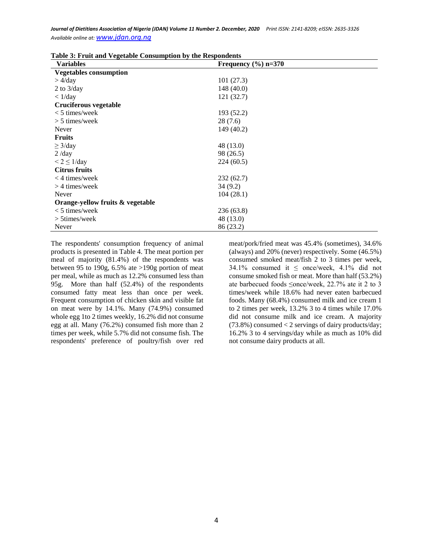| <b>Variables</b>                 | Frequency $(\% )$ n=370 |
|----------------------------------|-------------------------|
| <b>Vegetables consumption</b>    |                         |
| $>$ 4/day                        | 101(27.3)               |
| 2 to $3$ /day                    | 148 (40.0)              |
| $\langle 1/\text{day} \rangle$   | 121(32.7)               |
| Cruciferous vegetable            |                         |
| $<$ 5 times/week                 | 193 (52.2)              |
| $> 5$ times/week                 | 28(7.6)                 |
| Never                            | 149 (40.2)              |
| <b>Fruits</b>                    |                         |
| $\geq$ 3/day                     | 48 (13.0)               |
| $2$ /day                         | 98 (26.5)               |
| $< 2 \leq 1/day$                 | 224(60.5)               |
| <b>Citrus fruits</b>             |                         |
| $<$ 4 times/week                 | 232(62.7)               |
| $>$ 4 times/week                 | 34(9.2)                 |
| Never                            | 104(28.1)               |
| Orange-yellow fruits & vegetable |                         |
| $<$ 5 times/week                 | 236 (63.8)              |
| $> 5$ times/week                 | 48 (13.0)               |
| Never                            | 86 (23.2)               |

**Table 3: Fruit and Vegetable Consumption by the Respondents**

The respondents' consumption frequency of animal products is presented in Table 4. The meat portion per meal of majority (81.4%) of the respondents was between 95 to 190g, 6.5% ate >190g portion of meat per meal, while as much as 12.2% consumed less than 95g. More than half (52.4%) of the respondents consumed fatty meat less than once per week. Frequent consumption of chicken skin and visible fat on meat were by 14.1%. Many (74.9%) consumed whole egg 1to 2 times weekly, 16.2% did not consume egg at all. Many (76.2%) consumed fish more than 2 times per week, while 5.7% did not consume fish. The respondents' preference of poultry/fish over red

meat/pork/fried meat was 45.4% (sometimes), 34.6% (always) and 20% (never) respectively. Some (46.5%) consumed smoked meat/fish 2 to 3 times per week, 34.1% consumed it ≤ once/week, 4.1% did not consume smoked fish or meat. More than half (53.2%) ate barbecued foods ≤once/week, 22.7% ate it 2 to 3 times/week while 18.6% had never eaten barbecued foods. Many (68.4%) consumed milk and ice cream 1 to 2 times per week, 13.2% 3 to 4 times while 17.0% did not consume milk and ice cream. A majority  $(73.8\%)$  consumed  $< 2$  servings of dairy products/day; 16.2% 3 to 4 servings/day while as much as 10% did not consume dairy products at all.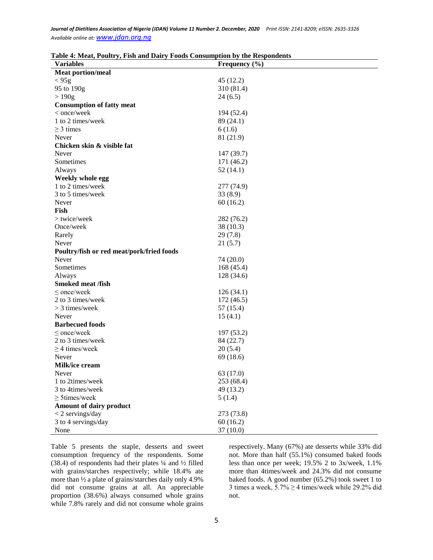| Table 4: Meat, Poultry, Fish and Dairy Foods Consumption by the Respondents |
|-----------------------------------------------------------------------------|
|-----------------------------------------------------------------------------|

| <b>Variables</b>                          | Frequency $(\% )$ |
|-------------------------------------------|-------------------|
| <b>Meat portion/meal</b>                  |                   |
| < 95g                                     | 45(12.2)          |
| 95 to 190g                                | 310 (81.4)        |
| >190g                                     | 24(6.5)           |
| <b>Consumption of fatty meat</b>          |                   |
| < once/week                               | 194 (52.4)        |
| 1 to 2 times/week                         | 89 (24.1)         |
| $\geq$ 3 times                            | 6(1.6)            |
| Never                                     | 81 (21.9)         |
| Chicken skin & visible fat                |                   |
| Never                                     | 147 (39.7)        |
| Sometimes                                 | 171 (46.2)        |
| Always                                    | 52(14.1)          |
| Weekly whole egg                          |                   |
| 1 to 2 times/week                         | 277 (74.9)        |
| 3 to 5 times/week                         | 33(8.9)           |
| Never                                     | 60(16.2)          |
| Fish                                      |                   |
| > twice/week                              | 282 (76.2)        |
| Once/week                                 | 38(10.3)          |
| Rarely                                    | 29(7.8)           |
| Never                                     | 21(5.7)           |
| Poultry/fish or red meat/pork/fried foods |                   |
| Never                                     | 74 (20.0)         |
| Sometimes                                 | 168 (45.4)        |
| Always                                    | 128 (34.6)        |
| <b>Smoked meat /fish</b>                  |                   |
| $\leq$ once/week                          | 126(34.1)         |
| 2 to 3 times/week                         | 172 (46.5)        |
| $>$ 3 times/week                          | 57 (15.4)         |
| Never                                     | 15(4.1)           |
| <b>Barbecued foods</b>                    |                   |
| $\le$ once/week                           | 197 (53.2)        |
| 2 to 3 times/week                         | 84 (22.7)         |
| $\geq$ 4 times/week                       | 20(5.4)           |
| Never                                     | 69 (18.6)         |
| Milk/ice cream                            |                   |
| Never                                     | 63 (17.0)         |
| 1 to 2times/week                          | 253 (68.4)        |
| 3 to 4times/week                          | 49 (13.2)         |
| $\geq$ 5times/week                        | 5(1.4)            |
| <b>Amount of dairy product</b>            |                   |
| $<$ 2 servings/day                        | 273 (73.8)        |
| 3 to 4 servings/day                       | 60(16.2)          |
| None                                      | 37(10.0)          |

Table 5 presents the staple, desserts and sweet consumption frequency of the respondents. Some (38.4) of respondents had their plates ¼ and ½ filled with grains/starches respectively; while 18.4% ate more than ½ a plate of grains/starches daily only 4.9% did not consume grains at all. An appreciable proportion (38.6%) always consumed whole grains while 7.8% rarely and did not consume whole grains

respectively. Many (67%) ate desserts while 33% did not. More than half (55.1%) consumed baked foods less than once per week; 19.5% 2 to 3x/week, 1.1% more than 4times/week and 24.3% did not consume baked foods. A good number (65.2%) took sweet 1 to 3 times a week,  $5.7\% \geq 4$  times/week while 29.2% did not.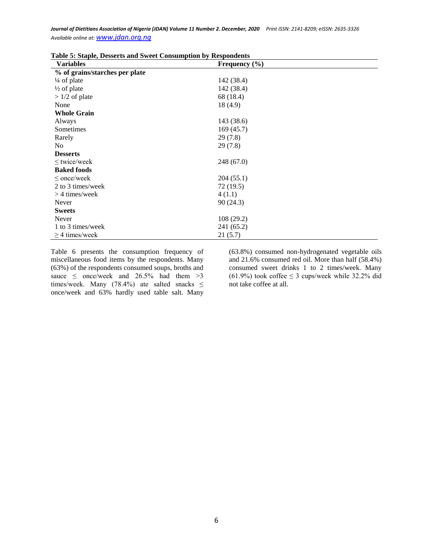| ***** * * * *** <b>p</b> ***,<br><b>Variables</b> | $\ldots$<br>Frequency $(\% )$ |
|---------------------------------------------------|-------------------------------|
| % of grains/starches per plate                    |                               |
| $\frac{1}{4}$ of plate                            | 142 (38.4)                    |
| $\frac{1}{2}$ of plate                            | 142 (38.4)                    |
| $>1/2$ of plate                                   | 68 (18.4)                     |
| None                                              | 18(4.9)                       |
| <b>Whole Grain</b>                                |                               |
| Always                                            | 143 (38.6)                    |
| Sometimes                                         | 169(45.7)                     |
| Rarely                                            | 29(7.8)                       |
| N <sub>0</sub>                                    | 29(7.8)                       |
| <b>Desserts</b>                                   |                               |
| $\leq$ twice/week                                 | 248(67.0)                     |
| <b>Baked foods</b>                                |                               |
| $\leq$ once/week                                  | 204(55.1)                     |
| 2 to 3 times/week                                 | 72(19.5)                      |
| $>$ 4 times/week                                  | 4(1.1)                        |
| Never                                             | 90(24.3)                      |
| <b>Sweets</b>                                     |                               |
| Never                                             | 108(29.2)                     |
| 1 to 3 times/week                                 | 241 (65.2)                    |
| $\geq$ 4 times/week                               | 21(5.7)                       |

**Table 5: Staple, Desserts and Sweet Consumption by Respondents**

Table 6 presents the consumption frequency of miscellaneous food items by the respondents. Many (63%) of the respondents consumed soups, broths and sauce  $\leq$  once/week and 26.5% had them >3 times/week. Many (78.4%) ate salted snacks  $\leq$ once/week and 63% hardly used table salt. Many

(63.8%) consumed non-hydrogenated vegetable oils and 21.6% consumed red oil. More than half (58.4%) consumed sweet drinks 1 to 2 times/week. Many (61.9%) took coffee  $\leq$  3 cups/week while 32.2% did not take coffee at all.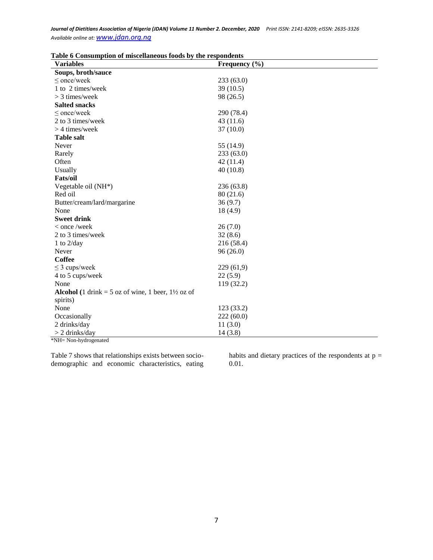| Frequency $(\% )$ |
|-------------------|
|                   |
| 233(63.0)         |
| 39(10.5)          |
| 98 (26.5)         |
|                   |
| 290 (78.4)        |
| 43(11.6)          |
| 37(10.0)          |
|                   |
| 55 (14.9)         |
| 233(63.0)         |
| 42(11.4)          |
| 40(10.8)          |
|                   |
| 236 (63.8)        |
| 80(21.6)          |
| 36(9.7)           |
| 18(4.9)           |
|                   |
| 26(7.0)           |
| 32(8.6)           |
| 216 (58.4)        |
| 96(26.0)          |
|                   |
| 229(61,9)         |
| 22(5.9)           |
| 119 (32.2)        |
|                   |
|                   |
| 123 (33.2)        |
| 222(60.0)         |
| 11(3.0)           |
| 14(3.8)           |
|                   |

**Table 6 Consumption of miscellaneous foods by the respondents**

\*NH= Non-hydrogenated

Table 7 shows that relationships exists between sociodemographic and economic characteristics, eating

habits and dietary practices of the respondents at  $p =$ 0.01.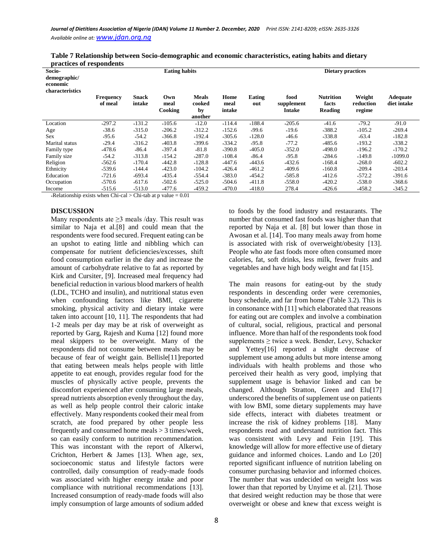| Socio-<br>demographic/<br>economic<br>characteristics | ргасисся от гезрописны<br><b>Eating habits</b> |                        |                        |                                         |                        | <b>Dietary practices</b> |                                     |                                      |                               |                         |
|-------------------------------------------------------|------------------------------------------------|------------------------|------------------------|-----------------------------------------|------------------------|--------------------------|-------------------------------------|--------------------------------------|-------------------------------|-------------------------|
|                                                       | <b>Frequency</b><br>of meal                    | <b>Snack</b><br>intake | Own<br>meal<br>Cooking | <b>Meals</b><br>cooked<br>by<br>another | Home<br>meal<br>intake | Eating<br>out            | food<br>supplement<br><b>Intake</b> | <b>Nutrition</b><br>facts<br>Reading | Weight<br>reduction<br>regime | Adequate<br>diet intake |
| Location                                              | $*297.2$                                       | $*131.2$               | $*105.6$               | $*12.0$                                 | $*114.4$               | $*188.4$                 | $*205.6$                            | $*41.6$                              | $*79.2$                       | $*91.0$                 |
| Age                                                   | $*38.6$                                        | $*315.0$               | $*206.2$               | $*312.2$                                | $*152.6$               | $*99.6$                  | $*19.6$                             | $*388.2$                             | $*105.2$                      | $*269.4$                |
| <b>Sex</b>                                            | $*95.6$                                        | $*54.2$                | $*366.8$               | $*192.4$                                | $*305.6$               | $*128.0$                 | $*46.6$                             | $*338.8$                             | $*63.4$                       | $*182.8$                |
| Marital status                                        | $*29.4$                                        | $*316.2$               | $*403.8$               | $*399.6$                                | $*334.2$               | $*95.8$                  | $*77.2$                             | $*485.6$                             | $*193.2$                      | $*338.2$                |
| Family type                                           | $*478.6$                                       | $*86.4$                | $*397.4$               | $*81.8$                                 | $*390.8$               | $*405.0$                 | $*352.0$                            | $*498.0$                             | $*196.2$                      | $*170.2$                |
| Family size                                           | $*54.2$                                        | $*313.8$               | $*154.2$               | $*287.0$                                | $*108.4$               | $*86.4$                  | $*95.8$                             | $*284.6$                             | $*149.8$                      | $*1099.0$               |
| Religion                                              | $*562.6$                                       | $*170.4$               | $*442.8$               | $*128.8$                                | $*447.6$               | $*443.6$                 | $*432.6$                            | $*168.4$                             | $*268.0$                      | $*602.2$                |
| Ethnicity                                             | $*539.6$                                       | $*144.4$               | $*423.0$               | $*104.2$                                | $*426.4$               | $*461.2$                 | $*409.6$                            | $*160.8$                             | $*209.4$                      | $*203.4$                |
| Education                                             | $*721.6$                                       | $*693.4$               | $*435.4$               | $*554.4$                                | $*383.0$               | $*454.2$                 | $*585.8$                            | $*412.6$                             | 572.2*                        | $*391.6$                |
| Occupation                                            | $*570.6$                                       | $*617.6$               | $*502.6$               | $*525.0$                                | $*504.6$               | $*411.8$                 | $*558.0$                            | $*420.2$                             | *538.0                        | $*368.6$                |
| Income                                                | $*515.6$                                       | $*513.0$               | $*477.6$               | $*459.2$                                | $*470.0$               | $*418.0$                 | 278.4                               | $*426.6$                             | *458.2                        | $*345.2$                |

| Table 7 Relationship between Socio-demographic and economic characteristics, eating habits and dietary |  |
|--------------------------------------------------------------------------------------------------------|--|
| practices of respondents                                                                               |  |

\*Relationship exists when Chi-cal > Chi-tab at p value =  $0.01$ 

#### **DISCUSSION**

Many respondents ate  $\geq$ 3 meals /day. This result was similar to Naja et al*.*[8] and could mean that the respondents were food secured. Frequent eating can be an upshot to eating little and nibbling which can compensate for nutrient deficiencies/excesses, shift food consumption earlier in the day and increase the amount of carbohydrate relative to fat as reported by Kirk and Cursiter, [9]. Increased meal frequency had beneficial reduction in various blood markers of health (LDL, TCHO and insulin), and nutritional status even when confounding factors like BMI, cigarette smoking, physical activity and dietary intake were taken into account [10, 11]. The respondents that had 1-2 meals per day may be at risk of overweight as reported by Garg, Rajesh and Kuma [12] found more meal skippers to be overweight. Many of the respondents did not consume between meals may be because of fear of weight gain. Bellisle[11]reported that eating between meals helps people with little appetite to eat enough, provides regular food for the muscles of physically active people, prevents the discomfort experienced after consuming large meals, spread nutrients absorption evenly throughout the day, as well as help people control their caloric intake effectively. Many respondents cooked their meal from scratch, ate food prepared by other people less frequently and consumed home meals > 3 times/week, so can easily conform to nutrition recommendation. This was inconstant with the report of Alkerwi, Crichton, Herbert & James [13]. When age, sex, socioeconomic status and lifestyle factors were controlled, daily consumption of ready-made foods was associated with higher energy intake and poor compliance with nutritional recommendations [13]. Increased consumption of ready-made foods will also imply consumption of large amounts of sodium added

to foods by the food industry and restaurants. The number that consumed fast foods was higher than that reported by Naja et al. [8] but lower than those in Awosan et al. [14]. Too many meals away from home is associated with risk of overweight/obesity [13]. People who ate fast foods more often consumed more calories, fat, soft drinks, less milk, fewer fruits and vegetables and have high body weight and fat [15].

The main reasons for eating-out by the study respondents in descending order were ceremonies, busy schedule, and far from home (Table 3.2). This is in consonance with [11] which elaborated that reasons for eating out are complex and involve a combination of cultural, social, religious, practical and personal influence. More than half of the respondents took food supplements ≥ twice a week. Bender, Levy, Schacker and Yettey[16] reported a slight decrease of supplement use among adults but more intense among individuals with health problems and those who perceived their health as very good, implying that supplement usage is behavior linked and can be changed. Although Stratton, Green and Elu[17] underscored the benefits of supplement use on patients with low BMI, some dietary supplements may have side effects, interact with diabetes treatment or increase the risk of kidney problems [18]. Many respondents read and understand nutrition fact. This was consistent with Levy and Fein [19]. This knowledge will allow for more effective use of dietary guidance and informed choices. Lando and Lo [20] reported significant influence of nutrition labeling on consumer purchasing behavior and informed choices. The number that was undecided on weight loss was lower than that reported by Unyime et al. [21]. Those that desired weight reduction may be those that were overweight or obese and knew that excess weight is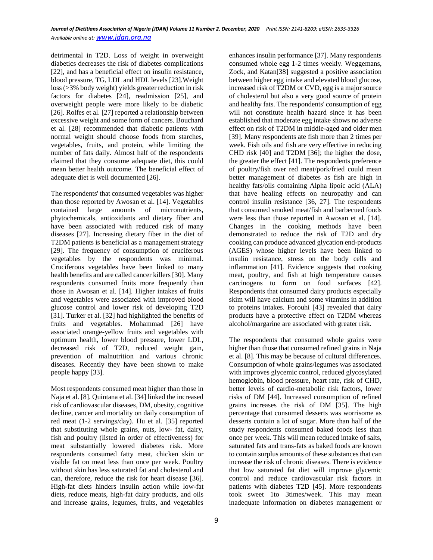detrimental in T2D. Loss of weight in overweight diabetics decreases the risk of diabetes complications [22], and has a beneficial effect on insulin resistance, blood pressure, TG, LDL and HDL levels [23].Weight loss (>3% body weight) yields greater reduction in risk factors for diabetes [24], readmission [25], and overweight people were more likely to be diabetic [26]. Rolfes et al. [27] reported a relationship between excessive weight and some form of cancers. Bouchard et al. [28] recommended that diabetic patients with normal weight should choose foods from starches, vegetables, fruits, and protein, while limiting the number of fats daily. Almost half of the respondents claimed that they consume adequate diet, this could mean better health outcome. The beneficial effect of adequate diet is well documented [26].

The respondents' that consumed vegetables was higher than those reported by Awosan et al. [14]. Vegetables contained large amounts of micronutrients, phytochemicals, antioxidants and dietary fiber and have been associated with reduced risk of many diseases [27]. Increasing dietary fiber in the diet of T2DM patients is beneficial as a management strategy [29]. The frequency of consumption of cruciferous vegetables by the respondents was minimal. Cruciferous vegetables have been linked to many health benefits and are called cancer killers [30]. Many respondents consumed fruits more frequently than those in Awosan et al. [14]. Higher intakes of fruits and vegetables were associated with improved blood glucose control and lower risk of developing T2D [31]. Turker et al. [32] had highlighted the benefits of fruits and vegetables. Mohammad [26] have associated orange-yellow fruits and vegetables with optimum health, lower blood pressure, lower LDL, decreased risk of T2D, reduced weight gain, prevention of malnutrition and various chronic diseases. Recently they have been shown to make people happy [33].

Most respondents consumed meat higher than those in Naja et al. [8]. Quintana et al. [34] linked the increased risk of cardiovascular diseases, DM, obesity, cognitive decline, cancer and mortality on daily consumption of red meat (1-2 servings/day). Hu et al. [35] reported that substituting whole grains, nuts, low- fat, dairy, fish and poultry (listed in order of effectiveness) for meat substantially lowered diabetes risk. More respondents consumed fatty meat, chicken skin or visible fat on meat less than once per week. Poultry without skin has less saturated fat and cholesterol and can, therefore, reduce the risk for heart disease [36]. High-fat diets hinders insulin action while low-fat diets, reduce meats, high-fat dairy products, and oils and increase grains, legumes, fruits, and vegetables

enhances insulin performance [37]. Many respondents consumed whole egg 1-2 times weekly. Weggemans, Zock, and Katan[38] suggested a positive association between higher egg intake and elevated blood glucose, increased risk of T2DM or CVD, egg is a major source of cholesterol but also a very good source of protein and healthy fats. The respondents' consumption of egg will not constitute health hazard since it has been established that moderate egg intake shows no adverse effect on risk of T2DM in middle-aged and older men [39]. Many respondents ate fish more than 2 times per week. Fish oils and fish are very effective in reducing CHD risk [40] and T2DM [36]; the higher the dose, the greater the effect [41]. The respondents preference of poultry/fish over red meat/pork/fried could mean better management of diabetes as fish are high in healthy fats/oils containing Alpha lipoic acid (ALA) that have healing effects on neuropathy and can control insulin resistance [36, 27]. The respondents that consumed smoked meat/fish and barbecued foods were less than those reported in Awosan et al. [14]. Changes in the cooking methods have been demonstrated to reduce the risk of T2D and dry cooking can produce advanced glycation end-products (AGES) whose higher levels have been linked to insulin resistance, stress on the body cells and inflammation [41]. Evidence suggests that cooking meat, poultry, and fish at high temperature causes carcinogens to form on food surfaces [42]. Respondents that consumed dairy products especially skim will have calcium and some vitamins in addition to proteins intakes. Forouhi [43] revealed that dairy products have a protective effect on T2DM whereas alcohol/margarine are associated with greater risk.

The respondents that consumed whole grains were higher than those that consumed refined grains in Naja et al. [8]. This may be because of cultural differences. Consumption of whole grains/legumes was associated with improves glycemic control, reduced glycosylated hemoglobin, blood pressure, heart rate, risk of CHD, better levels of cardio-metabolic risk factors, lower risks of DM [44]. Increased consumption of refined grains increases the risk of DM [35]. The high percentage that consumed desserts was worrisome as desserts contain a lot of sugar. More than half of the study respondents consumed baked foods less than once per week. This will mean reduced intake of salts, saturated fats and trans-fats as baked foods are known to contain surplus amounts of these substances that can increase the risk of chronic diseases. There is evidence that low saturated fat diet will improve glycemic control and reduce cardiovascular risk factors in patients with diabetes T2D [45]. More respondents took sweet 1to 3times/week. This may mean inadequate information on diabetes management or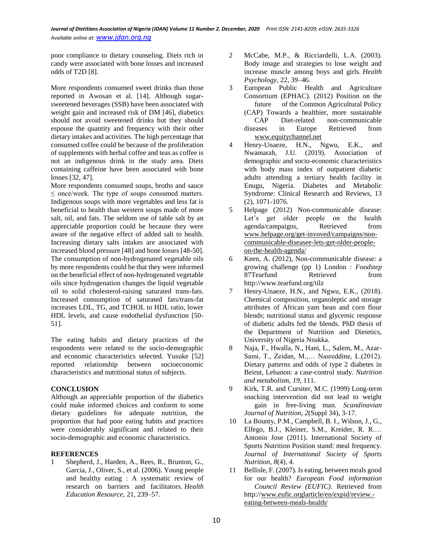poor compliance to dietary counseling. Diets rich in candy were associated with bone losses and increased odds of T2D [8].

More respondents consumed sweet drinks than those reported in Awosan et al. [14]. Although sugarsweetened beverages (SSB) have been associated with weight gain and increased risk of DM [46], diabetics should not avoid sweetened drinks but they should espouse the quantity and frequency with their other dietary intakes and activities. The high percentage that consumed coffee could be because of the proliferation of supplements with herbal coffee and teas as coffee is not an indigenous drink in the study area. Diets containing caffeine have been associated with bone losses [32, 47].

More respondents consumed soups, broths and sauce  $\leq$  once/week. The type of soups consumed matters. Indigenous soups with more vegetables and less fat is beneficial to health than western soups made of more salt, oil, and fats. The seldom use of table salt by an appreciable proportion could be because they were aware of the negative effect of added salt to health. Increasing dietary salts intakes are associated with increased blood pressure [48] and bone losses [48-50]. The consumption of non-hydrogenated vegetable oils by more respondents could be that they were informed on the beneficial effect of non-hydrogenated vegetable oils since hydrogenation changes the liquid vegetable oil to solid cholesterol-raising saturated trans-fats. Increased consumption of saturated fats/trans-fat increases LDL, TG, and TCHOL to HDL ratio, lower HDL levels, and cause endothelial dysfunction [50- 51].

The eating habits and dietary practices of the respondents were related to the socio-demographic and economic characteristics selected. Yusuke [52] reported relationship between socioeconomic characteristics and nutritional status of subjects.

## **CONCLUSION**

Although an appreciable proportion of the diabetics could make informed choices and conform to some dietary guidelines for adequate nutrition, the proportion that had poor eating habits and practices were considerably significant and related to their socio-demographic and economic characteristics.

## **REFERENCES**

Shepherd, J., Harden, A., Rees, R., Brunton, G., Garcia, J., Oliver, S., et al. (2006). Young people and healthy eating : A systematic review of research on barriers and facilitators. *Health Education Resource,* 21, 239–57.

- 2 McCabe, M.P., & Ricciardelli, L.A. (2003). Body image and strategies to lose weight and increase muscle among boys and girls. *Health Psychology,* 22, 39–46.
- 3 European Public Health and Agriculture Consortium (EPHAC). (2012) Position on the future of the Common Agricultural Policy (CAP) Towards a healthier, more sustainable CAP Diet-related non-communicable diseases in Europe Retrieved from [www.equitychannel.net](http://www.equitychannel.net/)
- 4 Henry-Unaeze, H.N., Ngwu, E.K., and Nwamarah, J.U. (2019). Association of demographic and socio-economic characteristics with body mass index of outpatient diabetic adults attending a tertiary health facility in Enugu, Nigeria. Diabetes and Metabolic Syndrome: Clinical Research and Reviews, 13 (2), 1071-1076.
- 5 Helpage (2012) Non-communicable disease: Let's get older people on the health agenda/campaigns, Retrieved from [www.helpage.org/get-invoved/campaigns/non](http://www.helpage.org/get-invoved/campaigns/non-communicable-diseasee-lets-get-older-people-on-the-health-agenda/)[communicable-diseasee-lets-get-older-people](http://www.helpage.org/get-invoved/campaigns/non-communicable-diseasee-lets-get-older-people-on-the-health-agenda/)[on-the-health-agenda/](http://www.helpage.org/get-invoved/campaigns/non-communicable-diseasee-lets-get-older-people-on-the-health-agenda/)
- 6 Keen, A. (2012), Non-communicable disease: a growing challenge (pp 1) London : *Foodstep*  87Tearfund Retrieved from http:/[/www.tearfund.org/tilz](http://www.tearfund.org/tilz)
- 7 Henry-Unaeze, H.N., and Ngwu, E.K., (2018). Chemical composition, organoleptic and storage attributes of African yam bean and corn flour blends; nutritional status and glycemic response of diabetic adults fed the blends. PhD thesis of the Department of Nutrition and Dietetics, University of Nigeria Nsukka.
- 8 Naja, F., Hwalla, N., Hani, L., Salem, M., Azar-Sami, T., Zeidan, M.,… Nasreddine, L.(2012). Dietary patterns and odds of type 2 diabetes in Beirut, Lebanon: a case-control study. *Nutrition and metabolism*, *19*, 111.
- 9 Kirk, T.R. and Cursiter, M.C. (1999) Long-term snacking intervention did not lead to weight gain in free-living man. *Scandinavian Journal of Nutrition, 2*(Suppl 34), 3-17.
- 10 La Bounty, P.M., Campbell, B. I., Wilson, J., G., Elfego, B.J., Kleiner, S.M., Kreider, R. R.… Antonio Jose (2011). International Society of Sports Nutrition Position stand: meal frequency. *Journal of International Society of Sports Nutrition*, *8*(4), 4.
- 11 Bellisle, F. (2007). Is eating, between meals good for our health? *European Food information Council Review (EUFIC).* Retrieved from http:/[/www.eufic.orglarticle/en/expid/review.](http://www.eufic.orglarticle/en/expid/review.-eating-between-meals-health/) [eating-between-meals-health/](http://www.eufic.orglarticle/en/expid/review.-eating-between-meals-health/)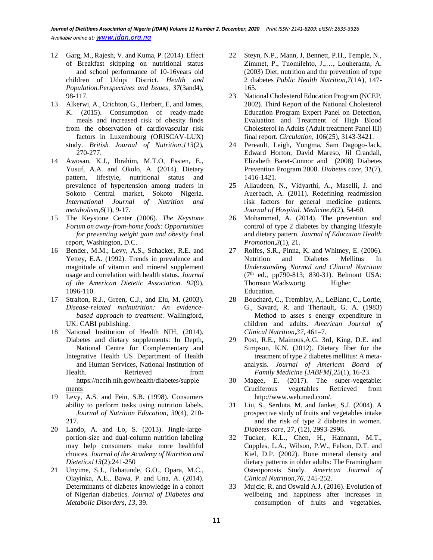- 12 Garg, M., Rajesh, V. and Kuma, P. (2014). Effect of Breakfast skipping on nutritional status and school performance of 10-16years old children of Udupi District. *Health and Population.Perspectives and Issues*, *37*(3and4), 98-117.
- 13 Alkerwi, A., Crichton, G., Herbert, E, and James, K. (2015). Consumption of ready-made meals and increased risk of obesity finds from the observation of cardiovascular risk factors in Luxembourg (ORISCAV-LUX) study. *British Journal of Nutrition,113*(2), 270-277.
- 14 Awosan, K.J., Ibrahim, M.T.O, Essien, E., Yusuf, A.A. and Okolo, A. (2014). Dietary pattern, lifestyle, nutritional status and prevalence of hypertension among traders in Sokoto Central market, Sokoto Nigeria. *International Journal of Nutrition and metabolism,6*(1), 9-17.
- 15 The Keystone Center (2006). *The Keystone Forum on away-from-home foods: Opportunities for preventing weight gain and obesity* final report, Washington, D.C.
- 16 Bender, M.M., Levy, A.S., Schacker, R.E. and Yettey, E.A. (1992). Trends in prevalence and magnitude of vitamin and mineral supplement usage and correlation with health status. *Journal of the American Dietetic Association. 92*(9), 1096-110.
- 17 Stralton, R.J., Green, C.J., and Elu, M. (2003). *Disease-related malnutrition: An evidencebased approach to treatment*. Wallingford, UK: CABI publishing.
- 18 National Institution of Health NIH, (2014). Diabetes and dietary supplements: In Depth, National Centre for Complementary and Integrative Health US Department of Health and Human Services, National Institution of Health. Retrieved from [https://nccih.nih.gov/health/diabetes/supple](https://nccih.nih.gov/health/diabetes/supplements) [ments](https://nccih.nih.gov/health/diabetes/supplements)
- 19 Levy, A.S. and Fein, S.B. (1998). Consumers ability to perform tasks using nutrition labels. *Journal of Nutrition Education*, *30*(4), 210- 217.
- 20 Lando, A. and Lo, S. (2013). Jingle-largeportion-size and dual-column nutrition labeling may help consumers make more healthful choices. *Journal of the Academy of Nutrition and Dietetics113*(2):241-250
- 21 Unyime, S.J., Babatunde, G.O., Opara, M.C., Olayinka, A.E., Bawa, P. and Una, A. (2014). Determinants of diabetes knowledge in a cohort of Nigerian diabetics. *Journal of Diabetes and Metabolic Disorders*, *13*, 39.
- 22 Steyn, N.P., Mann, J, Bennett, P.H., Temple, N., Zimmet, P., Tuomilehto, J.,…, Louheranta, A. (2003) Diet, nutrition and the prevention of type 2 diabetes *Public Health Nutrition,7*(1A), 147- 165.
- 23 National Cholesterol Education Program (NCEP, 2002). Third Report of the National Cholesterol Education Program Expert Panel on Detection, Evaluation and Treatment of High Blood Cholesterol in Adults (Adult treatment Panel III) final report. *Circulation*, 106(25), 3143-3421.
- 24 Pereault, Leigh, Yongma, Sam Dagogo-Jack, Edward Horton, David Mareso, Jil Crandall, Elizabeth Baret-Connor and (2008) Diabetes Prevention Program 2008. *Diabetes care*, *31*(7), 1416-1421.
- 25 Allaudeen, N., Vidyarthi, A., Maselli, J. and Auerbach, A. (2011). Redefining readmission risk factors for general medicine patients. *Journal of Hospital. Medicine,6*(2), 54-60.
- 26 Mohammed, A. (2014). The prevention and control of type 2 diabetes by changing lifestyle and dietary pattern. *Journal of Education Health Promotion,3*(1), 21.
- 27 Rolfes, S.R., Pinna, K. and Whitney, E. (2006). Nutrition and Diabetes Mellitus In *Understanding Normal and Clinical Nutrition*  $(7<sup>th</sup>$  ed., pp790-813; 830-31). Belmont USA: Thomson Wadswortg Higher Education.
- 28 Bouchard, C., Tremblay, A., LeBlanc, C., Lortie, G., Savard, R. and Theriault, G. A. (1983) Method to asses s energy expenditure in children and adults. *American Journal of Clinical Nutrition,37*, 461–7.
- 29 Post, R.E., Mainous,A.G. 3rd, King, D.E. and Simpson, K.N. (2012). Dietary fiber for the treatment of type 2 diabetes mellitus: A metaanalysis. *Journal of American Board of Family Medicine [JABFM],25*(1), 16-23.
- 30 Magee, E. (2017). The super-vegetable: Cruciferous vegetables Retrieved from http:/[/www.web.med.com/.](http://www.web.med.com/)
- 31 Liu, S., Serduta, M. and Janket, S.J. (2004). A prospective study of fruits and vegetables intake and the risk of type 2 diabetes in women. *Diabetes care,* 27, (12), 2993-2996.
- 32 Tucker, K.L., Chen, H., Hannann, M.T., Cupples, L.A., Wilson, P.W., Felson, D.T. and Kiel, D.P. (2002). Bone mineral density and dietary patterns in older adults: The Framingham Osteoporosis Study. *American Journal of Clinical Nutrition,76*, 245-252.
- 33 Mujcic, R. and Oswald A.J. (2016). Evolution of wellbeing and happiness after increases in consumption of fruits and vegetables.